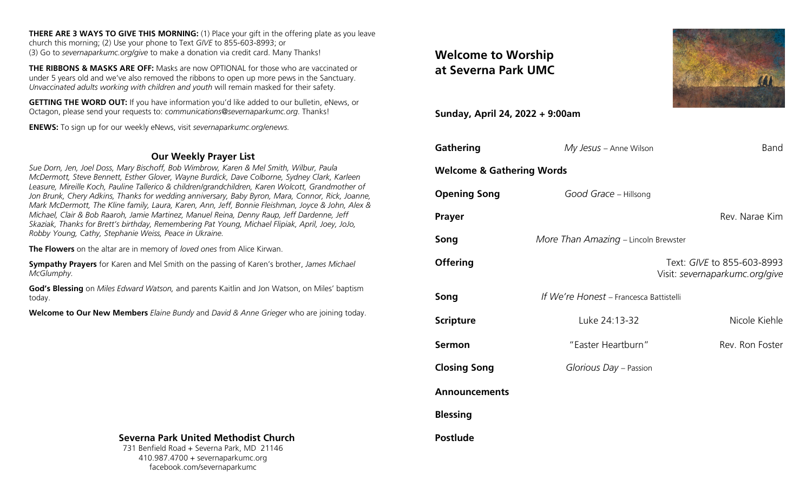**THERE ARE 3 WAYS TO GIVE THIS MORNING:** (1) Place your gift in the offering plate as you leave church this morning; (2) Use your phone to Text *GIVE* to 855-603-8993; or (3) Go to *severnaparkumc.org/give* to make a donation via credit card. Many Thanks!

**THE RIBBONS & MASKS ARE OFF:** Masks are now OPTIONAL for those who are vaccinated or under 5 years old and we've also removed the ribbons to open up more pews in the Sanctuary. *Unvaccinated adults working with children and youth* will remain masked for their safety.

**GETTING THE WORD OUT:** If you have information you'd like added to our bulletin, eNews, or Octagon, please send your requests to: *communications@severnaparkumc.org*. Thanks!

**ENEWS:** To sign up for our weekly eNews, visit *severnaparkumc.org/enews.*

## **Our Weekly Prayer List**

*Sue Dorn, Jen, Joel Doss, Mary Bischoff, Bob Wimbrow, Karen & Mel Smith, Wilbur, Paula McDermott, Steve Bennett, Esther Glover, Wayne Burdick, Dave Colborne, Sydney Clark, Karleen Leasure, Mireille Koch, Pauline Tallerico & children/grandchildren, Karen Wolcott, Grandmother of Jon Brunk, Chery Adkins, Thanks for wedding anniversary, Baby Byron, Mara, Connor, Rick, Joanne, Mark McDermott, The Kline family, Laura, Karen, Ann, Jeff, Bonnie Fleishman, Joyce & John, Alex & Michael, Clair & Bob Raaroh, Jamie Martinez, Manuel Reina, Denny Raup, Jeff Dardenne, Jeff Skaziak, Thanks for Brett's birthday, Remembering Pat Young, Michael Flipiak, April, Joey, JoJo, Robby Young, Cathy, Stephanie Weiss, Peace in Ukraine.*

**The Flowers** on the altar are in memory of *loved ones* from Alice Kirwan.

**Sympathy Prayers** for Karen and Mel Smith on the passing of Karen's brother, *James Michael McGlumphy.*

**God's Blessing** on *Miles Edward Watson,* and parents Kaitlin and Jon Watson, on Miles' baptism today.

**Welcome to Our New Members** *Elaine Bundy* and *David & Anne Grieger* who are joining today.

# **Welcome to Worship at Severna Park UMC**

**Sunday, April 24, 2022 + 9:00am**

| <b>Gathering</b>                     | My Jesus - Anne Wilson                  | Band                                                         |
|--------------------------------------|-----------------------------------------|--------------------------------------------------------------|
| <b>Welcome &amp; Gathering Words</b> |                                         |                                                              |
| <b>Opening Song</b>                  | Good Grace - Hillsong                   |                                                              |
| Prayer                               |                                         | Rev. Narae Kim                                               |
| Song                                 | More Than Amazing - Lincoln Brewster    |                                                              |
| <b>Offering</b>                      |                                         | Text: GIVE to 855-603-8993<br>Visit: severnaparkumc.org/give |
| Song                                 | If We're Honest - Francesca Battistelli |                                                              |
| <b>Scripture</b>                     | Luke 24:13-32                           | Nicole Kiehle                                                |
| <b>Sermon</b>                        | "Easter Heartburn"                      | Rev. Ron Foster                                              |
| <b>Closing Song</b>                  | Glorious Day - Passion                  |                                                              |
| <b>Announcements</b>                 |                                         |                                                              |
| <b>Blessing</b>                      |                                         |                                                              |
| Postlude                             |                                         |                                                              |



### **Severna Park United Methodist Church**

731 Benfield Road + Severna Park, MD 21146 410.987.4700 + severnaparkumc.org facebook.com/severnaparkumc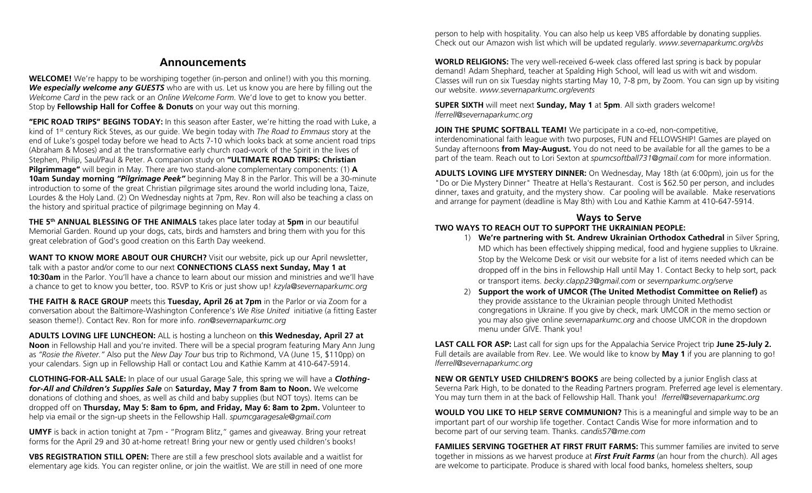# **Announcements**

**WELCOME!** We're happy to be worshiping together (in-person and online!) with you this morning. *We especially welcome any GUESTS* who are with us. Let us know you are here by filling out the *Welcome Card* in the pew rack or an *Online Welcome Form.* We'd love to get to know you better. Stop by **Fellowship Hall for Coffee & Donuts** on your way out this morning.

**"EPIC ROAD TRIPS" BEGINS TODAY:** In this season after Easter, we're hitting the road with Luke, a kind of 1st century Rick Steves, as our guide. We begin today with *The Road to Emmaus* story at the end of Luke's gospel today before we head to Acts 7-10 which looks back at some ancient road trips (Abraham & Moses) and at the transformative early church road-work of the Spirit in the lives of Stephen, Philip, Saul/Paul & Peter. A companion study on **"ULTIMATE ROAD TRIPS: Christian Pilgrimmage"** will begin in May. There are two stand-alone complementary components: (1) **A 10am Sunday morning** *"Pilgrimage Peek"* beginning May 8 in the Parlor. This will be a 30-minute introduction to some of the great Christian pilgrimage sites around the world including Iona, Taize, Lourdes & the Holy Land. (2) On Wednesday nights at 7pm, Rev. Ron will also be teaching a class on the history and spiritual practice of pilgrimage beginning on May 4.

**THE 5th ANNUAL BLESSING OF THE ANIMALS** takes place later today at **5pm** in our beautiful Memorial Garden. Round up your dogs, cats, birds and hamsters and bring them with you for this great celebration of God's good creation on this Earth Day weekend.

**WANT TO KNOW MORE ABOUT OUR CHURCH?** Visit our website, pick up our April newsletter, talk with a pastor and/or come to our next **CONNECTIONS CLASS next Sunday, May 1 at 10:30am** in the Parlor. You'll have a chance to learn about our mission and ministries and we'll have a chance to get to know you better, too. RSVP to Kris or just show up! *kzyla@severnaparkumc.org*

**THE FAITH & RACE GROUP** meets this **Tuesday, April 26 at 7pm** in the Parlor or via Zoom for a conversation about the Baltimore-Washington Conference's *We Rise United* initiative (a fitting Easter season theme!). Contact Rev. Ron for more info. *ron@severnaparkumc.org*

**ADULTS LOVING LIFE LUNCHEON:** ALL is hosting a luncheon on **this Wednesday, April 27 at Noon** in Fellowship Hall and you're invited. There will be a special program featuring Mary Ann Jung as *"Rosie the Riveter."* Also put the *New Day Tour* bus trip to Richmond, VA (June 15, \$110pp) on your calendars. Sign up in Fellowship Hall or contact Lou and Kathie Kamm at 410-647-5914.

**CLOTHING-FOR-ALL SALE:** In place of our usual Garage Sale, this spring we will have a *Clothingfor-All and Children's Supplies Sale* on **Saturday, May 7 from 8am to Noon.** We welcome donations of clothing and shoes, as well as child and baby supplies (but NOT toys). Items can be dropped off on **Thursday, May 5: 8am to 6pm, and Friday, May 6: 8am to 2pm.** Volunteer to help via email or the sign-up sheets in the Fellowship Hall. *spumcgaragesale@gmail.com*

**UMYF** is back in action tonight at 7pm - "Program Blitz," games and giveaway. Bring your retreat forms for the April 29 and 30 at-home retreat! Bring your new or gently used children's books!

**VBS REGISTRATION STILL OPEN:** There are still a few preschool slots available and a waitlist for elementary age kids. You can register online, or join the waitlist. We are still in need of one more person to help with hospitality. You can also help us keep VBS affordable by donating supplies. Check out our Amazon wish list which will be updated regularly. *www.severnaparkumc.org/vbs*

**WORLD RELIGIONS:** The very well-received 6-week class offered last spring is back by popular demand! Adam Shephard, teacher at Spalding High School, will lead us with wit and wisdom. Classes will run on six Tuesday nights starting May 10, 7-8 pm, by Zoom. You can sign up by visiting our website. *www.severnaparkumc.org/events*

**SUPER SIXTH** will meet next **Sunday, May 1** at **5pm**. All sixth graders welcome! *lferrell@severnaparkumc.org*

**JOIN THE SPUMC SOFTBALL TEAM!** We participate in a co-ed, non-competitive, interdenominational faith league with two purposes, FUN and FELLOWSHIP! Games are played on Sunday afternoons **from May-August.** You do not need to be available for all the games to be a part of the team. Reach out to Lori Sexton at *spumcsoftball731@gmail.com* for more information. ..

**ADULTS LOVING LIFE MYSTERY DINNER:** On Wednesday, May 18th (at 6:00pm), join us for the "Do or Die Mystery Dinner" Theatre at Hella's Restaurant. Cost is \$62.50 per person, and includes dinner, taxes and gratuity, and the mystery show. Car pooling will be available. Make reservations and arrange for payment (deadline is May 8th) with Lou and Kathie Kamm at 410-647-5914.

## **Ways to Serve**

#### **TWO WAYS TO REACH OUT TO SUPPORT THE UKRAINIAN PEOPLE:**

- 1) **We're partnering with St. Andrew Ukrainian Orthodox Cathedral** in Silver Spring, MD which has been effectively shipping medical, food and hygiene supplies to Ukraine. Stop by the Welcome Desk or visit our website for a list of items needed which can be dropped off in the bins in Fellowship Hall until May 1. Contact Becky to help sort, pack or transport items. *[becky.clapp23@gmail.com](mailto:becky.clapp23@gmail.com)* or *severnparkumc.org/serve*
- 2) **Support the work of UMCOR (The United Methodist Committee on Relief)** as they provide assistance to the Ukrainian people through United Methodist congregations in Ukraine. If you give by check, mark UMCOR in the memo section or you may also give online *severnaparkumc.org* and choose UMCOR in the dropdown menu under GIVE. Thank you!

**LAST CALL FOR ASP:** Last call for sign ups for the Appalachia Service Project trip **June 25-July 2.** Full details are available from Rev. Lee. We would like to know by **May 1** if you are planning to go! *lferrell@severnaparkumc.org*

**NEW OR GENTLY USED CHILDREN'S BOOKS** are being collected by a junior English class at Severna Park High, to be donated to the Reading Partners program. Preferred age level is elementary. You may turn them in at the back of Fellowship Hall. Thank you! *lferrell@severnaparkumc.org*

**WOULD YOU LIKE TO HELP SERVE COMMUNION?** This is a meaningful and simple way to be an important part of our worship life together. Contact Candis Wise for more information and to become part of our serving team. Thanks. *candis57@me.com*

**FAMILIES SERVING TOGETHER AT FIRST FRUIT FARMS:** This summer families are invited to serve together in missions as we harvest produce at *First Fruit Farms* (an hour from the church). All ages are welcome to participate. Produce is shared with local food banks, homeless shelters, soup